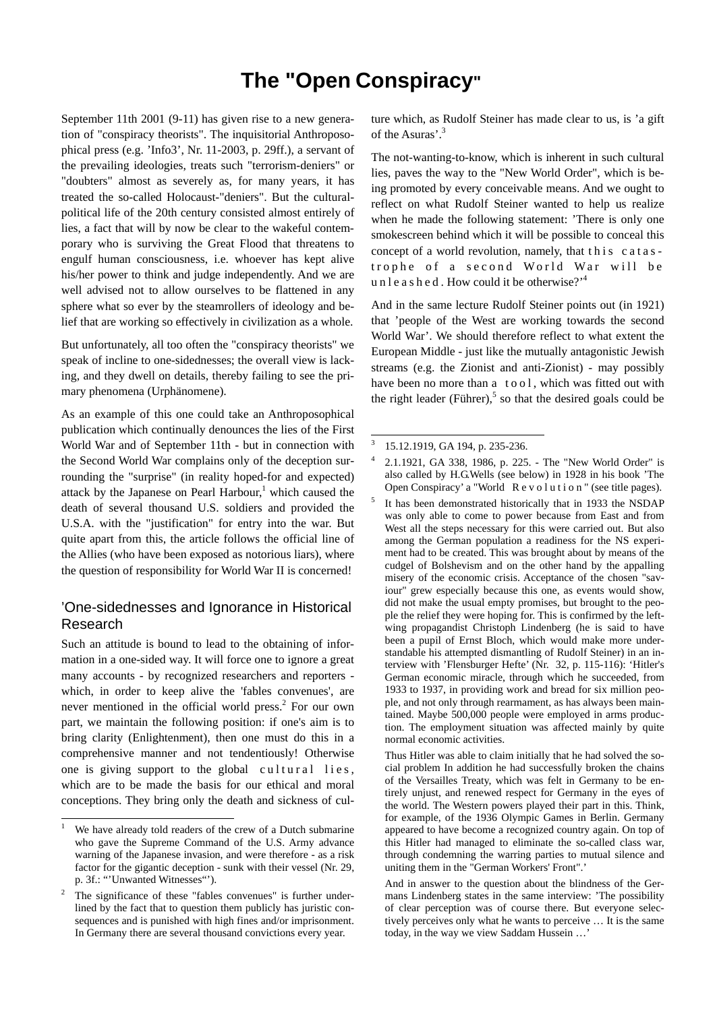# **The "Open Conspiracy"**

September 11th 2001 (9-11) has given rise to a new generation of "conspiracy theorists". The inquisitorial Anthroposophical press (e.g. 'Info3', Nr. 11-2003, p. 29ff.), a servant of the prevailing ideologies, treats such "terrorism-deniers" or "doubters" almost as severely as, for many years, it has treated the so-called Holocaust-"deniers". But the culturalpolitical life of the 20th century consisted almost entirely of lies, a fact that will by now be clear to the wakeful contemporary who is surviving the Great Flood that threatens to engulf human consciousness, i.e. whoever has kept alive his/her power to think and judge independently. And we are well advised not to allow ourselves to be flattened in any sphere what so ever by the steamrollers of ideology and belief that are working so effectively in civilization as a whole.

But unfortunately, all too often the "conspiracy theorists" we speak of incline to one-sidednesses; the overall view is lacking, and they dwell on details, thereby failing to see the primary phenomena (Urphänomene).

As an example of this one could take an Anthroposophical publication which continually denounces the lies of the First World War and of September 11th - but in connection with the Second World War complains only of the deception surrounding the "surprise" (in reality hoped-for and expected) attack by the Japanese on Pearl Harbour, $<sup>1</sup>$  which caused the</sup> death of several thousand U.S. soldiers and provided the U.S.A. with the "justification" for entry into the war. But quite apart from this, the article follows the official line of the Allies (who have been exposed as notorious liars), where the question of responsibility for World War II is concerned!

### 'One-sidednesses and Ignorance in Historical Research

Such an attitude is bound to lead to the obtaining of information in a one-sided way. It will force one to ignore a great many accounts - by recognized researchers and reporters which, in order to keep alive the 'fables convenues', are never mentioned in the official world press.<sup>2</sup> For our own part, we maintain the following position: if one's aim is to bring clarity (Enlightenment), then one must do this in a comprehensive manner and not tendentiously! Otherwise one is giving support to the global cultural lies, which are to be made the basis for our ethical and moral conceptions. They bring only the death and sickness of cul-

 $\overline{\phantom{a}}$ 

ture which, as Rudolf Steiner has made clear to us, is 'a gift of the Asuras'.<sup>3</sup>

The not-wanting-to-know, which is inherent in such cultural lies, paves the way to the "New World Order", which is being promoted by every conceivable means. And we ought to reflect on what Rudolf Steiner wanted to help us realize when he made the following statement: 'There is only one smokescreen behind which it will be possible to conceal this concept of a world revolution, namely, that this catastrophe of a second World War will be u n l e a s h e d . How could it be otherwise?<sup> $,4$ </sup>

And in the same lecture Rudolf Steiner points out (in 1921) that 'people of the West are working towards the second World War'. We should therefore reflect to what extent the European Middle - just like the mutually antagonistic Jewish streams (e.g. the Zionist and anti-Zionist) - may possibly have been no more than a tool, which was fitted out with the right leader (Führer),<sup>5</sup> so that the desired goals could be

 $\overline{\phantom{a}}$ 

5

- 4 2.1.1921, GA 338, 1986, p. 225. - The "New World Order" is also called by H.G.Wells (see below) in 1928 in his book 'The Open Conspiracy' a "World R e v o l u t i o n " (see title pages).
- It has been demonstrated historically that in 1933 the NSDAP was only able to come to power because from East and from West all the steps necessary for this were carried out. But also among the German population a readiness for the NS experiment had to be created. This was brought about by means of the cudgel of Bolshevism and on the other hand by the appalling misery of the economic crisis. Acceptance of the chosen "saviour" grew especially because this one, as events would show, did not make the usual empty promises, but brought to the people the relief they were hoping for. This is confirmed by the leftwing propagandist Christoph Lindenberg (he is said to have been a pupil of Ernst Bloch, which would make more understandable his attempted dismantling of Rudolf Steiner) in an interview with 'Flensburger Hefte' (Nr. 32, p. 115-116): 'Hitler's German economic miracle, through which he succeeded, from 1933 to 1937, in providing work and bread for six million people, and not only through rearmament, as has always been maintained. Maybe 500,000 people were employed in arms production. The employment situation was affected mainly by quite normal economic activities.

Thus Hitler was able to claim initially that he had solved the social problem In addition he had successfully broken the chains of the Versailles Treaty, which was felt in Germany to be entirely unjust, and renewed respect for Germany in the eyes of the world. The Western powers played their part in this. Think, for example, of the 1936 Olympic Games in Berlin. Germany appeared to have become a recognized country again. On top of this Hitler had managed to eliminate the so-called class war, through condemning the warring parties to mutual silence and uniting them in the "German Workers' Front".'

<sup>1</sup> We have already told readers of the crew of a Dutch submarine who gave the Supreme Command of the U.S. Army advance warning of the Japanese invasion, and were therefore - as a risk factor for the gigantic deception - sunk with their vessel (Nr. 29, p. 3f.: "'Unwanted Witnesses"').

<sup>2</sup> The significance of these "fables convenues" is further underlined by the fact that to question them publicly has juristic consequences and is punished with high fines and/or imprisonment. In Germany there are several thousand convictions every year.

<sup>3</sup> 15.12.1919, GA 194, p. 235-236.

And in answer to the question about the blindness of the Germans Lindenberg states in the same interview: 'The possibility of clear perception was of course there. But everyone selectively perceives only what he wants to perceive … It is the same today, in the way we view Saddam Hussein …'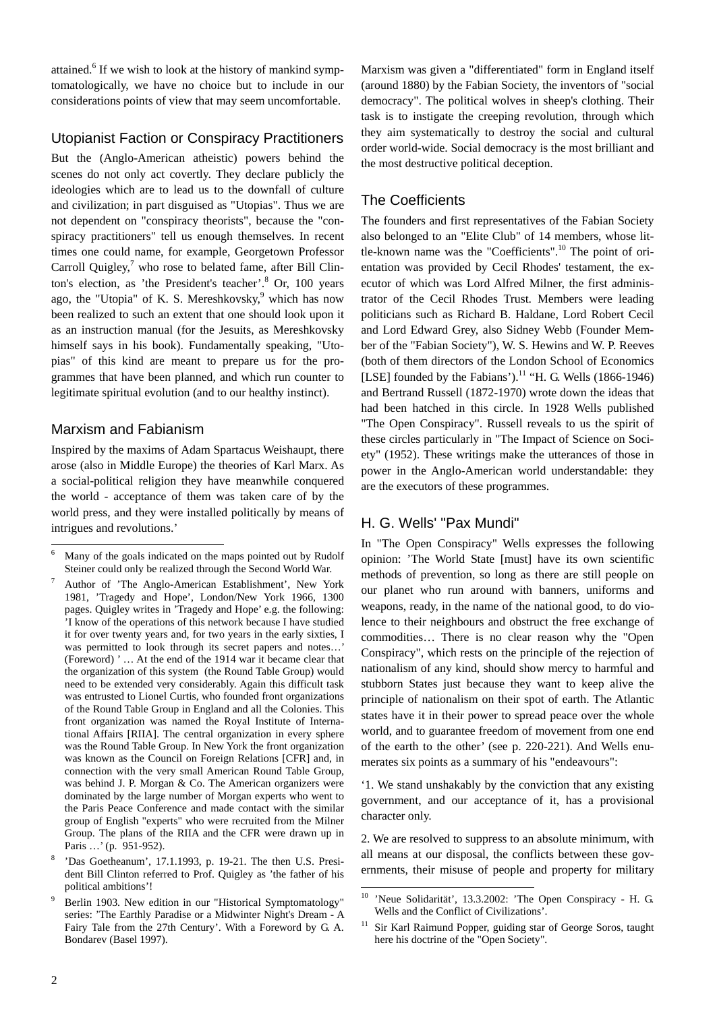attained.<sup>6</sup> If we wish to look at the history of mankind symptomatologically, we have no choice but to include in our considerations points of view that may seem uncomfortable.

## Utopianist Faction or Conspiracy Practitioners

But the (Anglo-American atheistic) powers behind the scenes do not only act covertly. They declare publicly the ideologies which are to lead us to the downfall of culture and civilization; in part disguised as "Utopias". Thus we are not dependent on "conspiracy theorists", because the "conspiracy practitioners" tell us enough themselves. In recent times one could name, for example, Georgetown Professor Carroll Quigley, $7$  who rose to belated fame, after Bill Clinton's election, as 'the President's teacher'.<sup>8</sup> Or, 100 years ago, the "Utopia" of K. S. Mereshkovsky,  $9$  which has now been realized to such an extent that one should look upon it as an instruction manual (for the Jesuits, as Mereshkovsky himself says in his book). Fundamentally speaking, "Utopias" of this kind are meant to prepare us for the programmes that have been planned, and which run counter to legitimate spiritual evolution (and to our healthy instinct).

#### Marxism and Fabianism

Inspired by the maxims of Adam Spartacus Weishaupt, there arose (also in Middle Europe) the theories of Karl Marx. As a social-political religion they have meanwhile conquered the world - acceptance of them was taken care of by the world press, and they were installed politically by means of intrigues and revolutions.'

Marxism was given a "differentiated" form in England itself (around 1880) by the Fabian Society, the inventors of "social democracy". The political wolves in sheep's clothing. Their task is to instigate the creeping revolution, through which they aim systematically to destroy the social and cultural order world-wide. Social democracy is the most brilliant and the most destructive political deception.

## The Coefficients

The founders and first representatives of the Fabian Society also belonged to an "Elite Club" of 14 members, whose little-known name was the "Coefficients".10 The point of orientation was provided by Cecil Rhodes' testament, the executor of which was Lord Alfred Milner, the first administrator of the Cecil Rhodes Trust. Members were leading politicians such as Richard B. Haldane, Lord Robert Cecil and Lord Edward Grey, also Sidney Webb (Founder Member of the "Fabian Society"), W. S. Hewins and W. P. Reeves (both of them directors of the London School of Economics [LSE] founded by the Fabians').<sup>11</sup> "H. G. Wells (1866-1946) and Bertrand Russell (1872-1970) wrote down the ideas that had been hatched in this circle. In 1928 Wells published "The Open Conspiracy". Russell reveals to us the spirit of these circles particularly in "The Impact of Science on Society" (1952). These writings make the utterances of those in power in the Anglo-American world understandable: they are the executors of these programmes.

#### H. G. Wells' "Pax Mundi"

In "The Open Conspiracy" Wells expresses the following opinion: 'The World State [must] have its own scientific methods of prevention, so long as there are still people on our planet who run around with banners, uniforms and weapons, ready, in the name of the national good, to do violence to their neighbours and obstruct the free exchange of commodities… There is no clear reason why the "Open Conspiracy", which rests on the principle of the rejection of nationalism of any kind, should show mercy to harmful and stubborn States just because they want to keep alive the principle of nationalism on their spot of earth. The Atlantic states have it in their power to spread peace over the whole world, and to guarantee freedom of movement from one end of the earth to the other' (see p. 220-221). And Wells enumerates six points as a summary of his "endeavours":

'1. We stand unshakably by the conviction that any existing government, and our acceptance of it, has a provisional character only.

2. We are resolved to suppress to an absolute minimum, with all means at our disposal, the conflicts between these governments, their misuse of people and property for military

l 6 Many of the goals indicated on the maps pointed out by Rudolf Steiner could only be realized through the Second World War.

<sup>7</sup> Author of 'The Anglo-American Establishment', New York 1981, 'Tragedy and Hope', London/New York 1966, 1300 pages. Quigley writes in 'Tragedy and Hope' e.g. the following: 'I know of the operations of this network because I have studied it for over twenty years and, for two years in the early sixties, I was permitted to look through its secret papers and notes…' (Foreword) ' … At the end of the 1914 war it became clear that the organization of this system (the Round Table Group) would need to be extended very considerably. Again this difficult task was entrusted to Lionel Curtis, who founded front organizations of the Round Table Group in England and all the Colonies. This front organization was named the Royal Institute of International Affairs [RIIA]. The central organization in every sphere was the Round Table Group. In New York the front organization was known as the Council on Foreign Relations [CFR] and, in connection with the very small American Round Table Group, was behind J. P. Morgan & Co. The American organizers were dominated by the large number of Morgan experts who went to the Paris Peace Conference and made contact with the similar group of English "experts" who were recruited from the Milner Group. The plans of the RIIA and the CFR were drawn up in Paris …' (p. 951-952).

<sup>8</sup> 'Das Goetheanum', 17.1.1993, p. 19-21. The then U.S. President Bill Clinton referred to Prof. Quigley as 'the father of his political ambitions'!

<sup>9</sup> Berlin 1903. New edition in our "Historical Symptomatology" series: 'The Earthly Paradise or a Midwinter Night's Dream - A Fairy Tale from the 27th Century'. With a Foreword by G. A. Bondarev (Basel 1997).

<sup>10</sup> 'Neue Solidarität', 13.3.2002: 'The Open Conspiracy - H. G. Wells and the Conflict of Civilizations'.

<sup>&</sup>lt;sup>11</sup> Sir Karl Raimund Popper, guiding star of George Soros, taught here his doctrine of the "Open Society".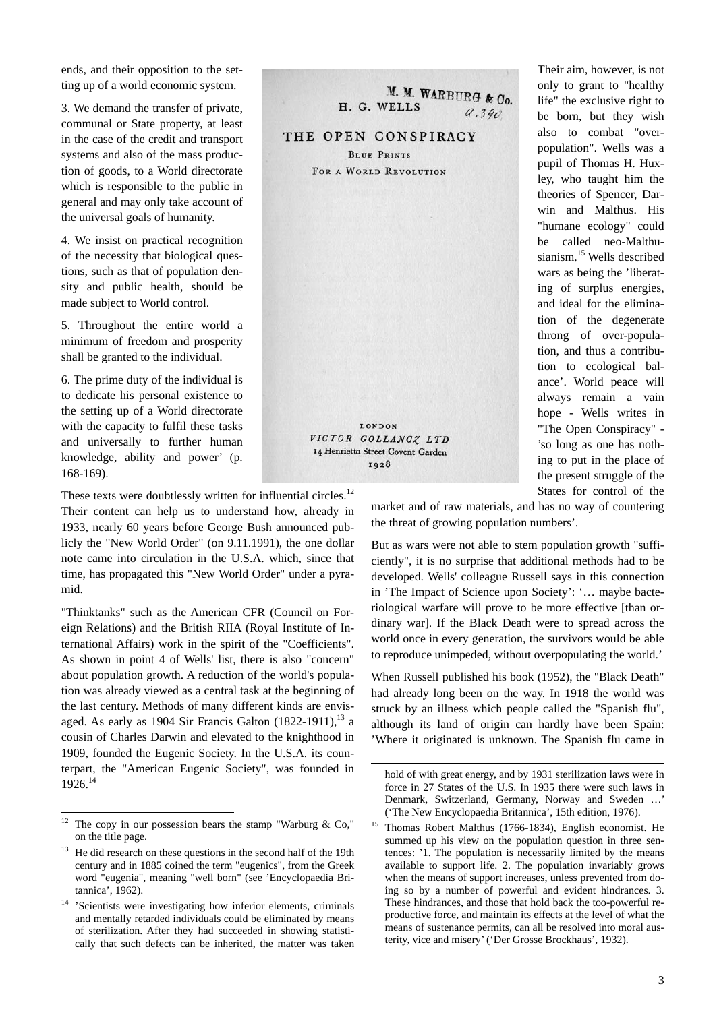ends, and their opposition to the setting up of a world economic system.

3. We demand the transfer of private, communal or State property, at least in the case of the credit and transport systems and also of the mass production of goods, to a World directorate which is responsible to the public in general and may only take account of the universal goals of humanity.

4. We insist on practical recognition of the necessity that biological questions, such as that of population density and public health, should be made subject to World control.

5. Throughout the entire world a minimum of freedom and prosperity shall be granted to the individual.

6. The prime duty of the individual is to dedicate his personal existence to the setting up of a World directorate with the capacity to fulfil these tasks and universally to further human knowledge, ability and power' (p. 168-169).

These texts were doubtlessly written for influential circles.<sup>12</sup> Their content can help us to understand how, already in 1933, nearly 60 years before George Bush announced publicly the "New World Order" (on 9.11.1991), the one dollar note came into circulation in the U.S.A. which, since that time, has propagated this "New World Order" under a pyramid.

"Thinktanks" such as the American CFR (Council on Foreign Relations) and the British RIIA (Royal Institute of International Affairs) work in the spirit of the "Coefficients". As shown in point 4 of Wells' list, there is also "concern" about population growth. A reduction of the world's population was already viewed as a central task at the beginning of the last century. Methods of many different kinds are envisaged. As early as 1904 Sir Francis Galton  $(1822-1911)$ ,<sup>13</sup> a cousin of Charles Darwin and elevated to the knighthood in 1909, founded the Eugenic Society. In the U.S.A. its counterpart, the "American Eugenic Society", was founded in 1926.14



 $\overline{\phantom{a}}$ 

Their aim, however, is not only to grant to "healthy life" the exclusive right to be born, but they wish also to combat "overpopulation". Wells was a pupil of Thomas H. Huxley, who taught him the theories of Spencer, Darwin and Malthus. His "humane ecology" could be called neo-Malthusianism.<sup>15</sup> Wells described wars as being the 'liberating of surplus energies, and ideal for the elimination of the degenerate throng of over-population, and thus a contribution to ecological balance'. World peace will always remain a vain hope - Wells writes in "The Open Conspiracy" - 'so long as one has nothing to put in the place of the present struggle of the States for control of the

market and of raw materials, and has no way of countering the threat of growing population numbers'.

But as wars were not able to stem population growth "sufficiently", it is no surprise that additional methods had to be developed. Wells' colleague Russell says in this connection in 'The Impact of Science upon Society': '… maybe bacteriological warfare will prove to be more effective [than ordinary war]. If the Black Death were to spread across the world once in every generation, the survivors would be able to reproduce unimpeded, without overpopulating the world.'

When Russell published his book (1952), the "Black Death" had already long been on the way. In 1918 the world was struck by an illness which people called the "Spanish flu", although its land of origin can hardly have been Spain: 'Where it originated is unknown. The Spanish flu came in

 $12 \overline{)}$ The copy in our possession bears the stamp "Warburg  $& Co,"$ on the title page.

 $13$  He did research on these questions in the second half of the 19th century and in 1885 coined the term "eugenics", from the Greek word "eugenia", meaning "well born" (see 'Encyclopaedia Britannica', 1962).

<sup>&</sup>lt;sup>14</sup> 'Scientists were investigating how inferior elements, criminals and mentally retarded individuals could be eliminated by means of sterilization. After they had succeeded in showing statistically that such defects can be inherited, the matter was taken

hold of with great energy, and by 1931 sterilization laws were in force in 27 States of the U.S. In 1935 there were such laws in Denmark, Switzerland, Germany, Norway and Sweden …' ('The New Encyclopaedia Britannica', 15th edition, 1976).

<sup>&</sup>lt;sup>15</sup> Thomas Robert Malthus (1766-1834), English economist. He summed up his view on the population question in three sentences: '1. The population is necessarily limited by the means available to support life. 2. The population invariably grows when the means of support increases, unless prevented from doing so by a number of powerful and evident hindrances. 3. These hindrances, and those that hold back the too-powerful reproductive force, and maintain its effects at the level of what the means of sustenance permits, can all be resolved into moral austerity, vice and misery' ('Der Grosse Brockhaus', 1932).